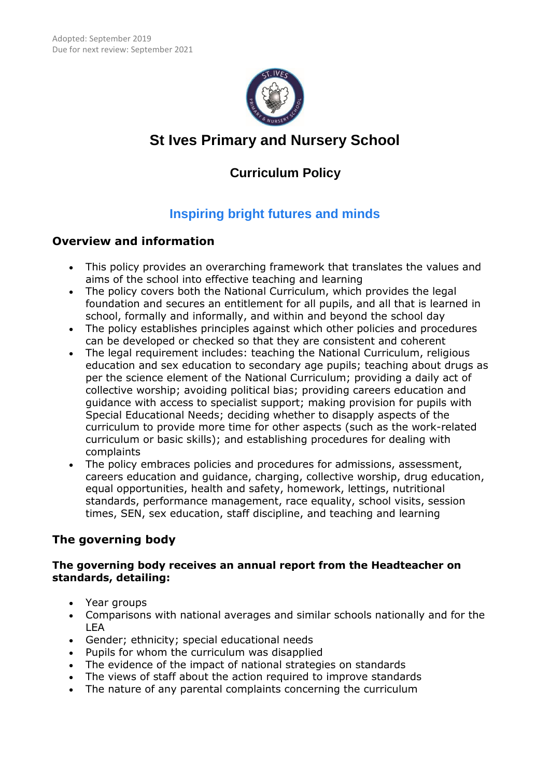

# **St Ives Primary and Nursery School**

## **Curriculum Policy**

## **Inspiring bright futures and minds**

### **Overview and information**

- This policy provides an overarching framework that translates the values and aims of the school into effective teaching and learning
- The policy covers both the National Curriculum, which provides the legal foundation and secures an entitlement for all pupils, and all that is learned in school, formally and informally, and within and beyond the school day
- The policy establishes principles against which other policies and procedures can be developed or checked so that they are consistent and coherent
- The legal requirement includes: teaching the National Curriculum, religious education and sex education to secondary age pupils; teaching about drugs as per the science element of the National Curriculum; providing a daily act of collective worship; avoiding political bias; providing careers education and guidance with access to specialist support; making provision for pupils with Special Educational Needs; deciding whether to disapply aspects of the curriculum to provide more time for other aspects (such as the work-related curriculum or basic skills); and establishing procedures for dealing with complaints
- The policy embraces policies and procedures for admissions, assessment, careers education and guidance, charging, collective worship, drug education, equal opportunities, health and safety, homework, lettings, nutritional standards, performance management, race equality, school visits, session times, SEN, sex education, staff discipline, and teaching and learning

## **The governing body**

#### **The governing body receives an annual report from the Headteacher on standards, detailing:**

- Year groups
- Comparisons with national averages and similar schools nationally and for the LEA
- Gender; ethnicity; special educational needs
- Pupils for whom the curriculum was disapplied
- The evidence of the impact of national strategies on standards
- The views of staff about the action required to improve standards
- The nature of any parental complaints concerning the curriculum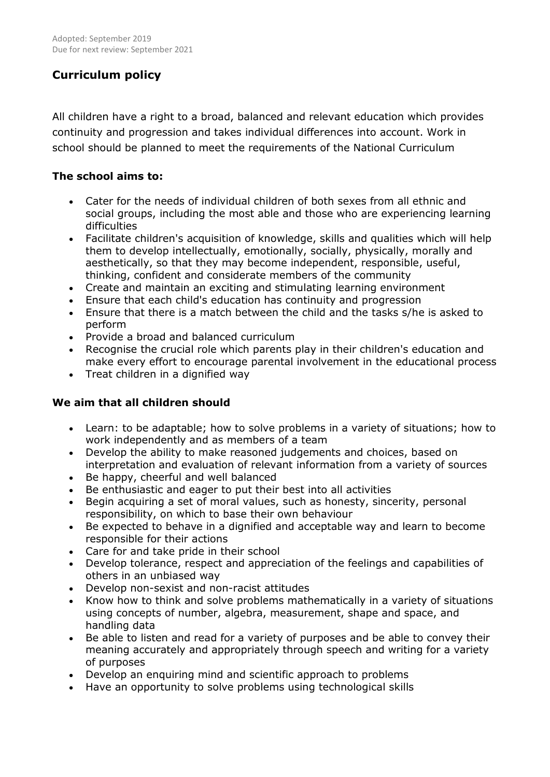## **Curriculum policy**

All children have a right to a broad, balanced and relevant education which provides continuity and progression and takes individual differences into account. Work in school should be planned to meet the requirements of the National Curriculum

#### **The school aims to:**

- Cater for the needs of individual children of both sexes from all ethnic and social groups, including the most able and those who are experiencing learning difficulties
- Facilitate children's acquisition of knowledge, skills and qualities which will help them to develop intellectually, emotionally, socially, physically, morally and aesthetically, so that they may become independent, responsible, useful, thinking, confident and considerate members of the community
- Create and maintain an exciting and stimulating learning environment
- Ensure that each child's education has continuity and progression
- Ensure that there is a match between the child and the tasks s/he is asked to perform
- Provide a broad and balanced curriculum
- Recognise the crucial role which parents play in their children's education and make every effort to encourage parental involvement in the educational process
- Treat children in a dignified way

#### **We aim that all children should**

- Learn: to be adaptable; how to solve problems in a variety of situations; how to work independently and as members of a team
- Develop the ability to make reasoned judgements and choices, based on interpretation and evaluation of relevant information from a variety of sources
- Be happy, cheerful and well balanced
- Be enthusiastic and eager to put their best into all activities
- Begin acquiring a set of moral values, such as honesty, sincerity, personal responsibility, on which to base their own behaviour
- Be expected to behave in a dignified and acceptable way and learn to become responsible for their actions
- Care for and take pride in their school
- Develop tolerance, respect and appreciation of the feelings and capabilities of others in an unbiased way
- Develop non-sexist and non-racist attitudes
- Know how to think and solve problems mathematically in a variety of situations using concepts of number, algebra, measurement, shape and space, and handling data
- Be able to listen and read for a variety of purposes and be able to convey their meaning accurately and appropriately through speech and writing for a variety of purposes
- Develop an enquiring mind and scientific approach to problems
- Have an opportunity to solve problems using technological skills